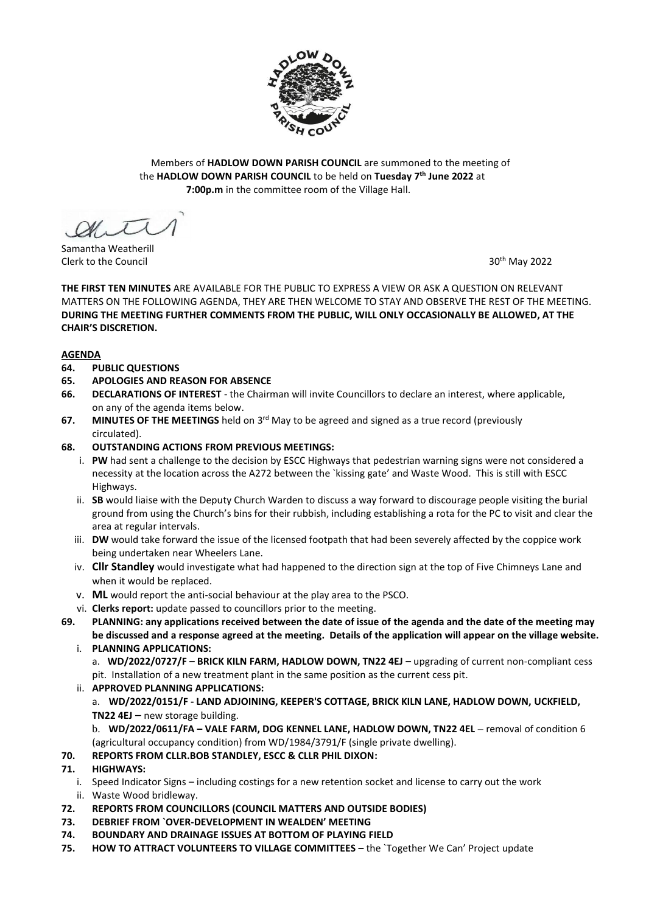

Members of **HADLOW DOWN PARISH COUNCIL** are summoned to the meeting of the **HADLOW DOWN PARISH COUNCIL** to be held on **Tuesday 7 th June 2022** at  **7:00p.m** in the committee room of the Village Hall.

 $\mathscr{A}\mathscr{N}$ 

Samantha Weatherill Clerk to the Council 30th May 2022

**THE FIRST TEN MINUTES** ARE AVAILABLE FOR THE PUBLIC TO EXPRESS A VIEW OR ASK A QUESTION ON RELEVANT MATTERS ON THE FOLLOWING AGENDA, THEY ARE THEN WELCOME TO STAY AND OBSERVE THE REST OF THE MEETING. **DURING THE MEETING FURTHER COMMENTS FROM THE PUBLIC, WILL ONLY OCCASIONALLY BE ALLOWED, AT THE CHAIR'S DISCRETION.**

## **AGENDA**

- **64. PUBLIC QUESTIONS**
- **65. APOLOGIES AND REASON FOR ABSENCE**
- **66. DECLARATIONS OF INTEREST** the Chairman will invite Councillors to declare an interest, where applicable, on any of the agenda items below.
- 67. MINUTES OF THE MEETINGS held on 3<sup>rd</sup> May to be agreed and signed as a true record (previously circulated).

## **68. OUTSTANDING ACTIONS FROM PREVIOUS MEETINGS:**

- i. **PW** had sent a challenge to the decision by ESCC Highways that pedestrian warning signs were not considered a necessity at the location across the A272 between the `kissing gate' and Waste Wood. This is still with ESCC Highways.
- ii. **SB** would liaise with the Deputy Church Warden to discuss a way forward to discourage people visiting the burial ground from using the Church's bins for their rubbish, including establishing a rota for the PC to visit and clear the area at regular intervals.
- iii. **DW** would take forward the issue of the licensed footpath that had been severely affected by the coppice work being undertaken near Wheelers Lane.
- iv. **Cllr Standley** would investigate what had happened to the direction sign at the top of Five Chimneys Lane and when it would be replaced.
- v. **ML** would report the anti-social behaviour at the play area to the PSCO.
- vi. **Clerks report:** update passed to councillors prior to the meeting.
- **69. PLANNING: any applications received between the date of issue of the agenda and the date of the meeting may be discussed and a response agreed at the meeting. Details of the application will appear on the village website.** i. **PLANNING APPLICATIONS:**
	- a. **WD/2022/0727/F BRICK KILN FARM, HADLOW DOWN, TN22 4EJ upgrading of current non-compliant cess** pit. Installation of a new treatment plant in the same position as the current cess pit.
	- ii. **APPROVED PLANNING APPLICATIONS:** a. **WD/2022/0151/F - LAND ADJOINING, KEEPER'S COTTAGE, BRICK KILN LANE, HADLOW DOWN, UCKFIELD, TN22 4EJ** – new storage building.

b. **WD/2022/0611/FA – VALE FARM, DOG KENNEL LANE, HADLOW DOWN, TN22 4EL** – removal of condition 6 (agricultural occupancy condition) from WD/1984/3791/F (single private dwelling).

# **70. REPORTS FROM CLLR.BOB STANDLEY, ESCC & CLLR PHIL DIXON:**

# **71. HIGHWAYS:**

- i. Speed Indicator Signs including costings for a new retention socket and license to carry out the work ii. Waste Wood bridleway.
- **72. REPORTS FROM COUNCILLORS (COUNCIL MATTERS AND OUTSIDE BODIES)**
- **73. DEBRIEF FROM `OVER-DEVELOPMENT IN WEALDEN' MEETING**
- **74. BOUNDARY AND DRAINAGE ISSUES AT BOTTOM OF PLAYING FIELD**
- **75. HOW TO ATTRACT VOLUNTEERS TO VILLAGE COMMITTEES –** the `Together We Can' Project update